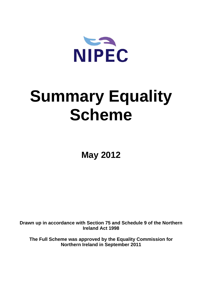

# **Summary Equality Scheme**

**May 2012** 

**Drawn up in accordance with Section 75 and Schedule 9 of the Northern Ireland Act 1998** 

**The Full Scheme was approved by the Equality Commission for Northern Ireland in September 2011**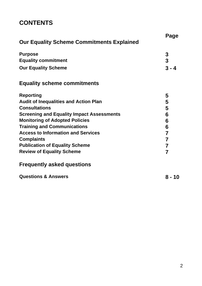# **CONTENTS**

| <b>Our Equality Scheme Commitments Explained</b> | Page           |
|--------------------------------------------------|----------------|
| <b>Purpose</b>                                   | 3              |
| <b>Equality commitment</b>                       | $\mathbf{3}$   |
| <b>Our Equality Scheme</b>                       | $3 - 4$        |
| <b>Equality scheme commitments</b>               |                |
| <b>Reporting</b>                                 | 5              |
| <b>Audit of Inequalities and Action Plan</b>     | 5              |
| <b>Consultations</b>                             | 5              |
| <b>Screening and Equality Impact Assessments</b> | 6              |
| <b>Monitoring of Adopted Policies</b>            | 6              |
| <b>Training and Communications</b>               | 6              |
| <b>Access to Information and Services</b>        | $\overline{7}$ |
| <b>Complaints</b>                                | 7              |
| <b>Publication of Equality Scheme</b>            | $\overline{7}$ |
| <b>Review of Equality Scheme</b>                 | 7              |
| <b>Frequently asked questions</b>                |                |
| <b>Questions &amp; Answers</b>                   | 8 - 10         |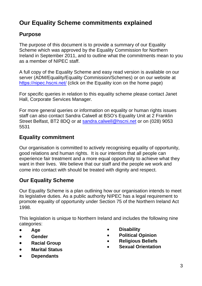# **Our Equality Scheme commitments explained**

# **Purpose**

The purpose of this document is to provide a summary of our Equality Scheme which was approved by the Equality Commission for Northern Ireland in September 2011, and to outline what the commitments mean to you as a member of NIPEC staff.

A full copy of the Equality Scheme and easy read version is available on our server (ADM/Equality/Equality Commission/Schemes) or on our website at https://[nipec.hscni.net](https://nipec.hscni.net/)/ (click on the Equality icon on the home page)

For specific queries in relation to this equality scheme please contact Janet Hall, Corporate Services Manager.

For more general queries or information on equality or human rights issues staff can also contact Sandra Calwell at BSO's Equality Unit at 2 Franklin Street Belfast, BT2 8DQ or at sandra.calwell@hscni.net or on (028) 9053 5531

# **Equality commitment**

Our organisation is committed to actively recognising equality of opportunity, good relations and human rights. It is our intention that all people can experience fair treatment and a more equal opportunity to achieve what they want in their lives. We believe that our staff and the people we work and come into contact with should be treated with dignity and respect.

# **Our Equality Scheme**

Our Equality Scheme is a plan outlining how our organisation intends to meet its legislative duties. As a public authority NIPEC has a legal requirement to promote equality of opportunity under Section 75 of the Northern Ireland Act 1998.

This legislation is unique to Northern Ireland and includes the following nine categories:

- **Age**
- **Gender**
- **•** Racial Group
- **Marital Status**
- **Dependants**
- **Disability**
- **Political Opinion**
- **Religious Beliefs**
- **Sexual Orientation**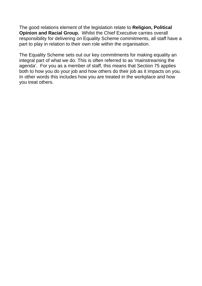The good relations element of the legislation relate to **Religion, Political Opinion and Racial Group.** Whilst the Chief Executive carries overall responsibility for delivering on Equality Scheme commitments, all staff have a part to play in relation to their own role within the organisation.

The Equality Scheme sets out our key commitments for making equality an integral part of what we do. This is often referred to as 'mainstreaming the agenda'. For you as a member of staff, this means that Section 75 applies both to how you do your job and how others do their job as it impacts on you. In other words this includes how you are treated in the workplace and how you treat others.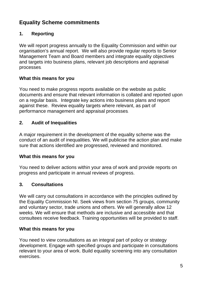# **Equality Scheme commitments**

# **1. Reporting**

We will report progress annually to the Equality Commission and within our organisation's annual report. We will also provide regular reports to Senior Management Team and Board members and integrate equality objectives and targets into business plans, relevant job descriptions and appraisal processes.

# **What this means for you**

You need to make progress reports available on the website as public documents and ensure that relevant information is collated and reported upon on a regular basis. Integrate key actions into business plans and report against these. Review equality targets where relevant, as part of performance management and appraisal processes.

# **2. Audit of Inequalities**

A major requirement in the development of the equality scheme was the conduct of an audit of inequalities. We will publicise the action plan and make sure that actions identified are progressed, reviewed and monitored.

# **What this means for you**

You need to deliver actions within your area of work and provide reports on progress and participate in annual reviews of progress.

# **3. Consultations**

We will carry out consultations in accordance with the principles outlined by the Equality Commission NI. Seek views from section 75 groups, community and voluntary sector, trade unions and others. We will generally allow 12 weeks. We will ensure that methods are inclusive and accessible and that consultees receive feedback. Training opportunities will be provided to staff.

# **What this means for you**

You need to view consultations as an integral part of policy or strategy development. Engage with specified groups and participate in consultations relevant to your area of work. Build equality screening into any consultation exercises.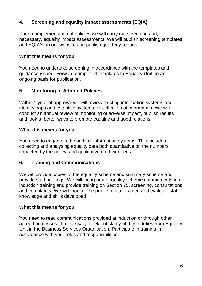# **4. Screening and equality impact assessments (EQIA)**

Prior to implementation of policies we will carry out screening and, if necessary, equality impact assessments. We will publish screening templates and EQIA's on our website and publish quarterly reports.

# **What this means for you**

You need to undertake screening in accordance with the templates and guidance issued. Forward completed templates to Equality Unit on an ongoing basis for publication.

# **5. Monitoring of Adopted Policies**

Within 1 year of approval we will review existing information systems and identify gaps and establish systems for collection of information. We will conduct an annual review of monitoring of adverse impact, publish results and look at better ways to promote equality and good relations.

# **What this means for you**

You need to engage in the audit of information systems. This includes collecting and analysing equality data both quantitative on the numbers impacted by the policy, and qualitative on their needs.

# **6. Training and Communications**

We will provide copies of the equality scheme and summary scheme and provide staff briefings. We will incorporate equality scheme commitments into induction training and provide training on Section 75, screening, consultations and complaints. We will monitor the profile of staff trained and evaluate staff knowledge and skills developed.

# **What this means for you**

You need to read communications provided at induction or through other agreed processes. If necessary, seek out clarity of these duties from Equality Unit in the Business Services Organisation. Participate in training in accordance with your roles and responsibilities.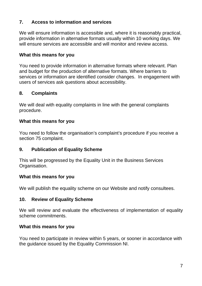# **7. Access to information and services**

We will ensure information is accessible and, where it is reasonably practical, provide information in alternative formats usually within 10 working days. We will ensure services are accessible and will monitor and review access.

# **What this means for you**

You need to provide information in alternative formats where relevant. Plan and budget for the production of alternative formats. Where barriers to services or information are identified consider changes. In engagement with users of services ask questions about accessibility.

# **8. Complaints**

We will deal with equality complaints in line with the general complaints procedure.

#### **What this means for you**

You need to follow the organisation's complaint's procedure if you receive a section 75 complaint.

# **9. Publication of Equality Scheme**

This will be progressed by the Equality Unit in the Business Services Organisation.

# **What this means for you**

We will publish the equality scheme on our Website and notify consultees.

#### **10. Review of Equality Scheme**

We will review and evaluate the effectiveness of implementation of equality scheme commitments.

#### **What this means for you**

You need to participate in review within 5 years, or sooner in accordance with the guidance issued by the Equality Commission NI.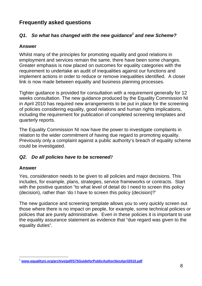# **Frequently asked questions**

# Q1. So what has changed with the new guidance<sup>1</sup> and new Scheme?

# **Answer**

Whilst many of the principles for promoting equality and good relations in employment and services remain the same, there have been some changes. Greater emphasis is now placed on outcomes for equality categories with the requirement to undertake an audit of inequalities against our functions and implement actions in order to reduce or remove inequalities identified. A closer link is now made between equality and business planning processes.

Tighter guidance is provided for consultation with a requirement generally for 12 weeks consultation. The new guidance produced by the Equality Commission NI in April 2010 has required new arrangements to be put in place for the screening of policies considering equality, good relations and human rights implications, including the requirement for publication of completed screening templates and quarterly reports.

The Equality Commission NI now have the power to investigate complaints in relation to the wider commitment of having due regard to promoting equality. Previously only a complaint against a public authority's breach of equality scheme could be investigated.

# *Q2. Do all policies have to be screened?*

#### **Answer**

Yes, consideration needs to be given to all policies and major decisions. This includes, for example, plans, strategies, service frameworks or contracts. Start with the positive question "to what level of detail do I need to screen this policy (decision), rather than 'do I have to screen this policy (decision)?'

The new guidance and screening template allows you to very quickly screen out those where there is no impact on people, for example, some technical policies or policies that are purely administrative. Even in these policies it is important to use the equality assurance statement as evidence that "due regard was given to the equality duties".

l <sup>1</sup> **www.equalityni.org/archive/pdf/S75GuideforPublicAuthoritiesApril2010.pdf**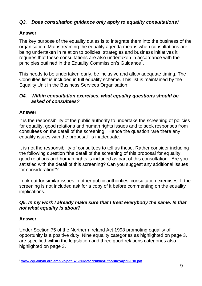# *Q3. Does consultation guidance only apply to equality consultations?*

# **Answer**

The key purpose of the equality duties is to integrate them into the business of the organisation. Mainstreaming the equality agenda means when consultations are being undertaken in relation to policies, strategies and business initiatives it requires that these consultations are also undertaken in accordance with the principles outlined in the Equality Commission's Guidance<sup>2</sup>.

This needs to be undertaken early, be inclusive and allow adequate timing. The Consultee list is included in full equality scheme. This list is maintained by the Equality Unit in the Business Services Organisation.

# *Q4. Within consultation exercises, what equality questions should be asked of consultees?*

# **Answer**

It is the responsibility of the public authority to undertake the screening of policies for equality, good relations and human rights issues and to seek responses from consultees on the detail of the screening. Hence the question "are there any equality issues with the proposal" is inadequate.

It is not the responsibility of consultees to tell us these. Rather consider including the following question "the detail of the screening of this proposal for equality, good relations and human rights is included as part of this consultation. Are you satisfied with the detail of this screening? Can you suggest any additional issues for consideration"?

Look out for similar issues in other public authorities' consultation exercises. If the screening is not included ask for a copy of it before commenting on the equality implications.

# *Q5. In my work I already make sure that I treat everybody the same. Is that not what equality is about?*

# **Answer**

Under Section 75 of the Northern Ireland Act 1998 promoting equality of opportunity is a positive duty. Nine equality categories as highlighted on page 3, are specified within the legislation and three good relations categories also highlighted on page 3.

l <sup>2</sup> **www.equalityni.org/archive/pdf/S75GuideforPublicAuthoritiesApril2010.pdf**